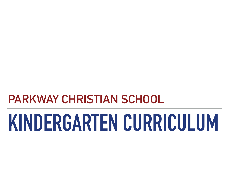# **PARKWAY CHRISTIAN SCHOOL**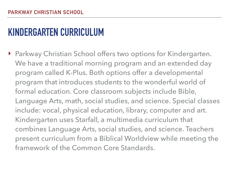▶ Parkway Christian School offers two options for Kindergarten. We have a traditional morning program and an extended day program called K-Plus. Both options offer a developmental program that introduces students to the wonderful world of formal education. Core classroom subjects include Bible, Language Arts, math, social studies, and science. Special classes include: vocal, physical education, library, computer and art. Kindergarten uses Starfall, a multimedia curriculum that combines Language Arts, social studies, and science. Teachers present curriculum from a Biblical Worldview while meeting the framework of the Common Core Standards.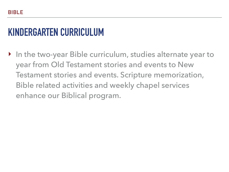‣ In the two-year Bible curriculum, studies alternate year to year from Old Testament stories and events to New Testament stories and events. Scripture memorization, Bible related activities and weekly chapel services enhance our Biblical program.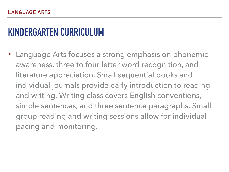‣ Language Arts focuses a strong emphasis on phonemic awareness, three to four letter word recognition, and literature appreciation. Small sequential books and individual journals provide early introduction to reading and writing. Writing class covers English conventions, simple sentences, and three sentence paragraphs. Small group reading and writing sessions allow for individual pacing and monitoring.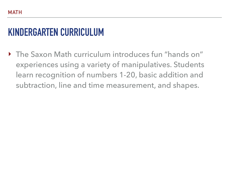‣ The Saxon Math curriculum introduces fun "hands on" experiences using a variety of manipulatives. Students learn recognition of numbers 1-20, basic addition and subtraction, line and time measurement, and shapes.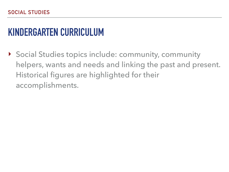‣ Social Studies topics include: community, community helpers, wants and needs and linking the past and present. Historical figures are highlighted for their accomplishments.